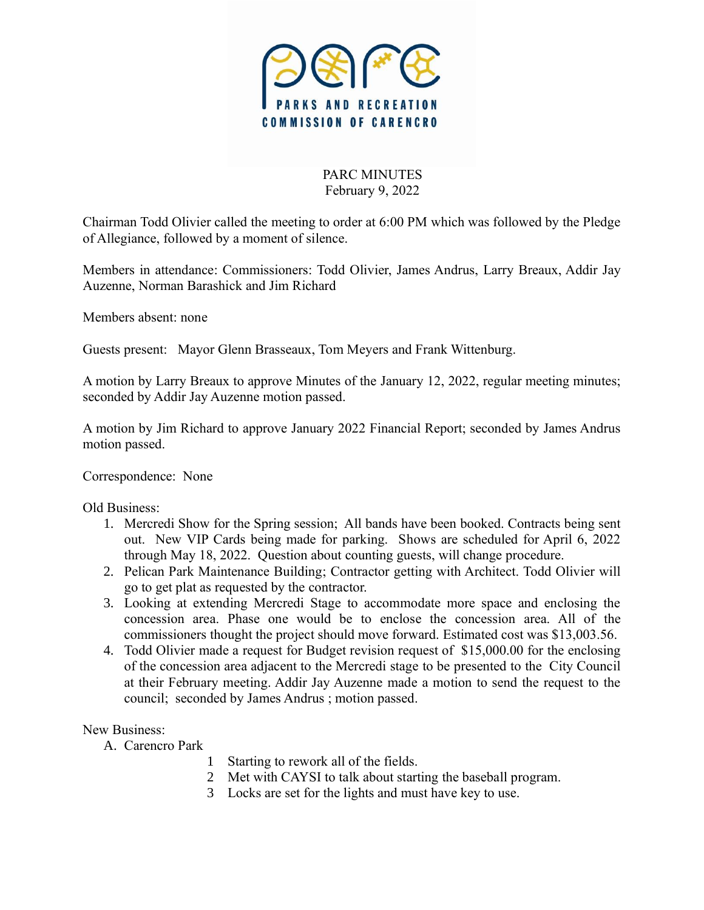

PARC MINUTES February 9, 2022

Chairman Todd Olivier called the meeting to order at 6:00 PM which was followed by the Pledge of Allegiance, followed by a moment of silence.

Members in attendance: Commissioners: Todd Olivier, James Andrus, Larry Breaux, Addir Jay Auzenne, Norman Barashick and Jim Richard

Members absent: none

Guests present: Mayor Glenn Brasseaux, Tom Meyers and Frank Wittenburg.

A motion by Larry Breaux to approve Minutes of the January 12, 2022, regular meeting minutes; seconded by Addir Jay Auzenne motion passed.

A motion by Jim Richard to approve January 2022 Financial Report; seconded by James Andrus motion passed.

Correspondence: None

Old Business:

- 1. Mercredi Show for the Spring session; All bands have been booked. Contracts being sent out. New VIP Cards being made for parking. Shows are scheduled for April 6, 2022 through May 18, 2022. Question about counting guests, will change procedure.
- 2. Pelican Park Maintenance Building; Contractor getting with Architect. Todd Olivier will go to get plat as requested by the contractor.
- 3. Looking at extending Mercredi Stage to accommodate more space and enclosing the concession area. Phase one would be to enclose the concession area. All of the commissioners thought the project should move forward. Estimated cost was \$13,003.56.
- 4. Todd Olivier made a request for Budget revision request of \$15,000.00 for the enclosing of the concession area adjacent to the Mercredi stage to be presented to the City Council at their February meeting. Addir Jay Auzenne made a motion to send the request to the council; seconded by James Andrus ; motion passed.

New Business:

- A. Carencro Park
	- 1 Starting to rework all of the fields.
	- 2 Met with CAYSI to talk about starting the baseball program.
	- 3 Locks are set for the lights and must have key to use.